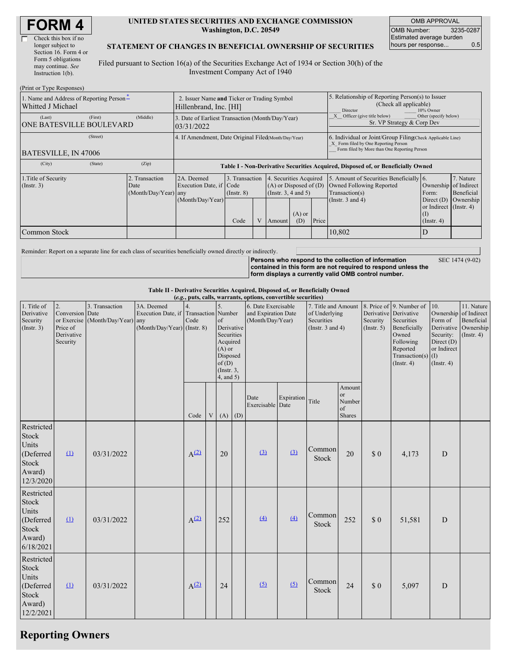| <b>FORM4</b> |
|--------------|
|--------------|

| Check this box if no  |
|-----------------------|
| longer subject to     |
| Section 16. Form 4 or |
| Form 5 obligations    |
| may continue. See     |
| Instruction $1(b)$ .  |
|                       |

 $(D_1, \ldots, T_n)$  or  $D_2$ .

#### **UNITED STATES SECURITIES AND EXCHANGE COMMISSION Washington, D.C. 20549**

OMB APPROVAL OMB Number: 3235-0287 Estimated average burden hours per response... 0.5

#### **STATEMENT OF CHANGES IN BENEFICIAL OWNERSHIP OF SECURITIES**

Filed pursuant to Section 16(a) of the Securities Exchange Act of 1934 or Section 30(h) of the Investment Company Act of 1940

| (FIIII OI Type Responses)                                                                       |                                                                       |                                                                                                                                                                               |      |  |        |                                                                                                                |                                                                                                                                                    |                                      |                  |  |
|-------------------------------------------------------------------------------------------------|-----------------------------------------------------------------------|-------------------------------------------------------------------------------------------------------------------------------------------------------------------------------|------|--|--------|----------------------------------------------------------------------------------------------------------------|----------------------------------------------------------------------------------------------------------------------------------------------------|--------------------------------------|------------------|--|
| 1. Name and Address of Reporting Person-<br>Whitted J Michael                                   | 2. Issuer Name and Ticker or Trading Symbol<br>Hillenbrand, Inc. [HI] |                                                                                                                                                                               |      |  |        | 5. Relationship of Reporting Person(s) to Issuer<br>(Check all applicable)<br>10% Owner<br>Director            |                                                                                                                                                    |                                      |                  |  |
| (Last)<br>(First)<br><b>ONE BATESVILLE BOULEVARD</b>                                            | (Middle)                                                              | 3. Date of Earliest Transaction (Month/Day/Year)<br>03/31/2022                                                                                                                |      |  |        |                                                                                                                | Other (specify below)<br>Officer (give title below)<br>Sr. VP Strategy & Corp Dev                                                                  |                                      |                  |  |
| (Street)<br>4. If Amendment, Date Original Filed(Month/Day/Year)<br><b>BATESVILLE, IN 47006</b> |                                                                       |                                                                                                                                                                               |      |  |        |                                                                                                                | 6. Individual or Joint/Group Filing Check Applicable Line)<br>X Form filed by One Reporting Person<br>Form filed by More than One Reporting Person |                                      |                  |  |
| (State)<br>(City)                                                                               | (Zip)                                                                 | Table I - Non-Derivative Securities Acquired, Disposed of, or Beneficially Owned                                                                                              |      |  |        |                                                                                                                |                                                                                                                                                    |                                      |                  |  |
| 1. Title of Security<br>$($ Instr. 3 $)$                                                        | 2. Transaction<br>Date<br>(Month/Day/Year) any                        | 4. Securities Acquired<br>2A. Deemed<br>3. Transaction<br>$(A)$ or Disposed of $(D)$<br>Execution Date, if Code<br>(Instr. 3, 4 and 5)<br>$($ Instr. $8)$<br>(Month/Day/Year) |      |  |        | 5. Amount of Securities Beneficially 6.<br>Owned Following Reported<br>Transaction(s)<br>(Instr. $3$ and $4$ ) | Ownership of Indirect<br>Form:<br>Direct $(D)$<br>or Indirect (Instr. 4)                                                                           | 7. Nature<br>Beneficial<br>Ownership |                  |  |
|                                                                                                 |                                                                       |                                                                                                                                                                               | Code |  | Amount | $(A)$ or<br>(D)                                                                                                | Price                                                                                                                                              |                                      | $($ Instr. 4 $)$ |  |
| Common Stock                                                                                    |                                                                       |                                                                                                                                                                               |      |  |        |                                                                                                                |                                                                                                                                                    | 10,802                               |                  |  |

Reminder: Report on a separate line for each class of securities beneficially owned directly or indirectly.

**Persons who respond to the collection of information contained in this form are not required to respond unless the form displays a currently valid OMB control number.** SEC 1474 (9-02)

**Table II - Derivative Securities Acquired, Disposed of, or Beneficially Owned**

|                                                                                         |                                                             |                                                    |                                                                                      |                  |                           |                                                                                                                         |     | (e.g., puts, calls, warrants, options, convertible securities) |            |                                                                             |                                                   |                                                  |                                                                                                                                      |                                                                           |                                                                                          |
|-----------------------------------------------------------------------------------------|-------------------------------------------------------------|----------------------------------------------------|--------------------------------------------------------------------------------------|------------------|---------------------------|-------------------------------------------------------------------------------------------------------------------------|-----|----------------------------------------------------------------|------------|-----------------------------------------------------------------------------|---------------------------------------------------|--------------------------------------------------|--------------------------------------------------------------------------------------------------------------------------------------|---------------------------------------------------------------------------|------------------------------------------------------------------------------------------|
| 1. Title of<br>Derivative<br>Security<br>(Insert. 3)                                    | 2.<br>Conversion Date<br>Price of<br>Derivative<br>Security | 3. Transaction<br>or Exercise (Month/Day/Year) any | 3A. Deemed<br>Execution Date, if Transaction Number<br>$(Month/Day/Year)$ (Instr. 8) | Code             |                           | 5.<br>of<br>Derivative<br>Securities<br>Acquired<br>$(A)$ or<br>Disposed<br>of(D)<br>$($ Instr. $3,$<br>$4$ , and $5$ ) |     | 6. Date Exercisable<br>and Expiration Date<br>(Month/Day/Year) |            | 7. Title and Amount<br>of Underlying<br>Securities<br>(Instr. $3$ and $4$ ) |                                                   | Derivative Derivative<br>Security<br>(Insert. 5) | 8. Price of 9. Number of<br>Securities<br>Beneficially<br>Owned<br>Following<br>Reported<br>Transaction(s) $(I)$<br>$($ Instr. 4 $)$ | 10.<br>Form of<br>Security:<br>Direct $(D)$<br>or Indirect<br>(Insert. 4) | 11. Nature<br>Ownership of Indirect<br>Beneficial<br>Derivative Ownership<br>(Insert. 4) |
|                                                                                         |                                                             |                                                    |                                                                                      | Code             | $\ensuremath{\mathbf{V}}$ | (A)                                                                                                                     | (D) | Date<br>Exercisable Date                                       | Expiration | Title                                                                       | Amount<br><sub>or</sub><br>Number<br>of<br>Shares |                                                  |                                                                                                                                      |                                                                           |                                                                                          |
| Restricted<br><b>Stock</b><br>Units<br>(Deferred<br>Stock<br>Award)<br>12/3/2020        | (1)                                                         | 03/31/2022                                         |                                                                                      | $A^{(2)}$        |                           | 20                                                                                                                      |     | (3)                                                            | (3)        | Common<br>Stock                                                             | 20                                                | \$0                                              | 4,173                                                                                                                                | $\mathbf D$                                                               |                                                                                          |
| Restricted<br>Stock<br>Units<br>(Deferred<br><b>Stock</b><br>Award)<br>6/18/2021        | $\Omega$                                                    | 03/31/2022                                         |                                                                                      | A <sup>(2)</sup> |                           | 252                                                                                                                     |     | (4)                                                            | (4)        | Common<br>Stock                                                             | 252                                               | \$0                                              | 51,581                                                                                                                               | $\mathbf D$                                                               |                                                                                          |
| Restricted<br><b>Stock</b><br>Units<br>(Deferred<br><b>Stock</b><br>Award)<br>12/2/2021 | $\Omega$                                                    | 03/31/2022                                         |                                                                                      | $A^{(2)}$        |                           | 24                                                                                                                      |     | (5)                                                            | (5)        | Common<br>Stock                                                             | 24                                                | \$0                                              | 5,097                                                                                                                                | D                                                                         |                                                                                          |

## **Reporting Owners**